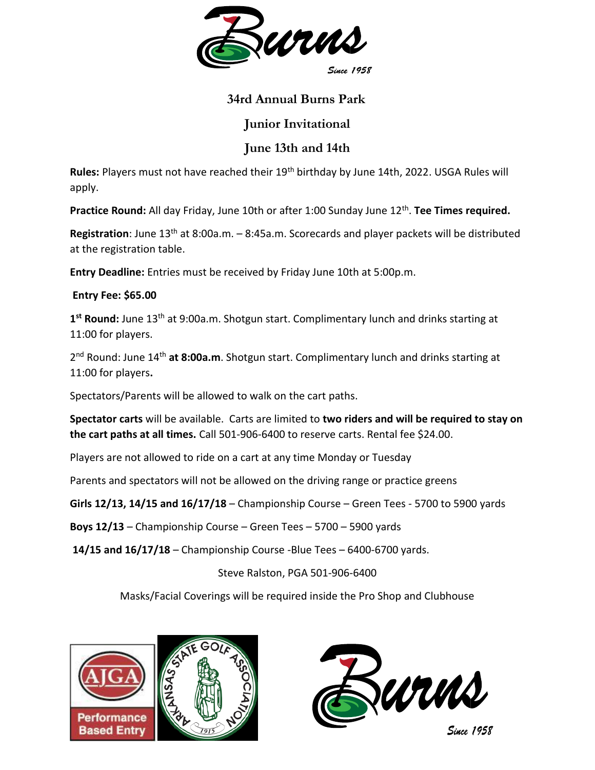

## **34rd Annual Burns Park**

## **Junior Invitational**

## **June 13th and 14th**

**Rules:** Players must not have reached their 19th birthday by June 14th, 2022. USGA Rules will apply.

Practice Round: All day Friday, June 10th or after 1:00 Sunday June 12<sup>th</sup>. Tee Times required.

**Registration**: June 13<sup>th</sup> at 8:00a.m. – 8:45a.m. Scorecards and player packets will be distributed at the registration table.

**Entry Deadline:** Entries must be received by Friday June 10th at 5:00p.m.

## **Entry Fee: \$65.00**

**1 st Round:** June 13th at 9:00a.m. Shotgun start. Complimentary lunch and drinks starting at 11:00 for players.

2 nd Round: June 14th **at 8:00a.m**. Shotgun start. Complimentary lunch and drinks starting at 11:00 for players**.**

Spectators/Parents will be allowed to walk on the cart paths.

**Spectator carts** will be available. Carts are limited to **two riders and will be required to stay on the cart paths at all times.** Call 501-906-6400 to reserve carts. Rental fee \$24.00.

Players are not allowed to ride on a cart at any time Monday or Tuesday

Parents and spectators will not be allowed on the driving range or practice greens

**Girls 12/13, 14/15 and 16/17/18** – Championship Course – Green Tees - 5700 to 5900 yards

**Boys 12/13** – Championship Course – Green Tees – 5700 – 5900 yards

**14/15 and 16/17/18** – Championship Course -Blue Tees – 6400-6700 yards.

Steve Ralston, PGA 501-906-6400

Masks/Facial Coverings will be required inside the Pro Shop and Clubhouse